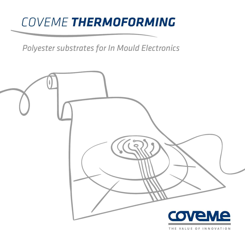# *COVEME THERMOFORMING*

*Polyester substrates for In Mould Electronics*

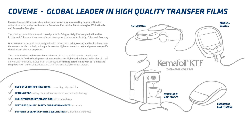# *COVEME - GLOBAL LEADER IN HIGH QUALITY TRANSFER FILMS*

Coveme has over fifty years of experience and know-how in converting polyester film for various industries such as Automotive, Consumer Electronics, Biotechnologies, White Goods and Renewable Energies.

The privately owned company with **headquarter in Bologna, Italy**, has two production sites in Italy and China, and three research and development laboratories in Italy, China and Germany.

**Our customers** work with advanced production processes in **print, coating and lamination** where Coveme materials are designed to perform under high mechanical stress and guarantee specific chemical and physical properties.

This is why **Product and Process Innovation** are at the heart of Coveme's activities and fundamentals for the development of new products for highly technological industries of rapid growth and continuous evolution. In this context, the strong partnerships with our clients and suppliers are of utmost importance and vital for a successful common growth.

**OVER 50 YEARS OF KNOW-HOW** in converting polyester film

**LEADING EDGE** coating, chemical treatment and lamination technology

**HIGH TECH PRODUCTION AND R&D** in Europe and Asia

**CERTIFIED QUALITY, SAFETY AND ENVIRONMENTAL** standards

**SUPPLIER OF LEADING PRINTED ELECTRONICS** manifacturers worldwide





*MEDICAL*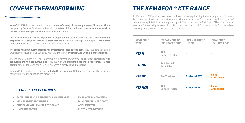## *COVEME THERMOFORMING THE KEMAFOIL® KTF RANGE*

Kemafoil<sup>®</sup> KTF is a new product range of thermoforming bioriented polyester films specifically designed by Coveme for the manufacturing of In Mould Electronics parts for automotive, medical devices, household appliances and consumer electronics.

Innate PET characteristics like higher tensile properties and stiffness combined with thermoforming properties make polyester in itself an excellent base material for this application especially compared to other materials commonly used in the FIM market today.

The added value by Coveme are specific surface treatments and coatings carried out on the company's proprietary production lines equipped with the latest TCA and Dual Cure UV coating technologies.

The result are Kemafoil® KTF thermoforming PET films that guarantee an excellent printability with conductive and non-conductive inks combined with and outstanding chemical resistance. The hard coating obtained through the dual curing process is highly scratch resistant.

Kemafoil<sup>®</sup> KTF hard coated films are **protected by a functional PET liner** to guarantee the protection of the surface during printing and processing.

All Kemafoil<sup>®</sup> KTF products are polyester based with deep forming thermal properties. Coveme's TCA treatment increases the surface wettability enhancing the film's receptivity for all types of inks in screen printed circuitry and graphic print. The products with Dual Cure UV Hard Coat provide excellent Antiscratch properties. Both TCA treatment and Hard Coat are suitable for customized finishings and textures with laquers and coatings.

| <b>KEMAFOIL<sup>®</sup></b><br><b>TYPE</b> | <b>TREATMENT ON</b><br><b>PRINTABLE SIDE</b> | <b>TRANSPARENT</b><br><b>LINER</b> | <b>DUAL CURE</b><br><b>UV HARD COAT</b> |
|--------------------------------------------|----------------------------------------------|------------------------------------|-----------------------------------------|
| <b>KTFH</b>                                | <b>TCA</b><br><b>Surface Treated</b>         |                                    |                                         |
| <b>KTF HH</b>                              | <b>TCA Treated</b><br><b>Both Sides</b>      |                                    |                                         |
| <b>KTF HC</b>                              | <b>Pre-Treatment</b>                         | <b>Bioriented PET</b>              | <b>Gloss</b><br>Anti-scratch            |
| <b>KTF HCH</b>                             | <b>TCA</b><br><b>Surface Treated</b>         | <b>Bioriented PET</b>              | <b>Gloss</b><br>Anti-scratch            |



- **EXCELLENT TENSILE STRENGTH AND STIFFNESS** •
- **HIGH FORMING PROPERTIES**  •
- **OUTSTANDING CHEMICAL RESISTANCE** •
- **LINER PROTECTED**  •
- **ENHANCED INK ADHESION**
- **DUAL CURE UV HARD COAT**
- **ANTI-SCRATCH**
- **CUSTOMIZED OPTIONS**

## *PRODUCT KEY FEATURES*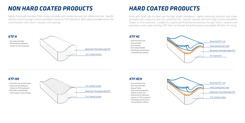- **Dual UV Hard Coat**
- **Glossy Finish**
- **Anti scratch**
- **One side printable • Finishings and textures**
- **customization options**

# *NON HARD COATED PRODUCTS HARD COATED PRODUCTS*

- **One side printable**
- **Enhanced ink adhesion thanks to TCA treatment**

- **Printable one or both sides**
- **Enhanced ink adhesion thanks to TCA treatment**
- **Backside customizable with lacquers and coatings**







## *KTF HH*

Highly chemically resistant films screen printable with conductive and non conductive inks. Specific versions with extra high surface wettability thanks to TCA treatment. Both sides printable version for customization with client's lacquers and coatings.

Films with Dual Cure UV hard coat for high scratch resistance. Highly chemically resistant and screen printable with conductive and non conductive inks. Specific versions with extra high surface wettability thanks to TCA treatment. Suitable for customized finishing and textures through client's lacquers and coatings or over screen printing. PET liner can be kept along the process and peeled off after UV curing.





- 
- **One side printable**
- **Glossy Finish**
- **Anti scratch properties thanks to hard coat**
- **Enhanced ink adhesion**
- **thanks to TCA treatment • Finishings and textures**
- **customization options**

## *KTF HCH*